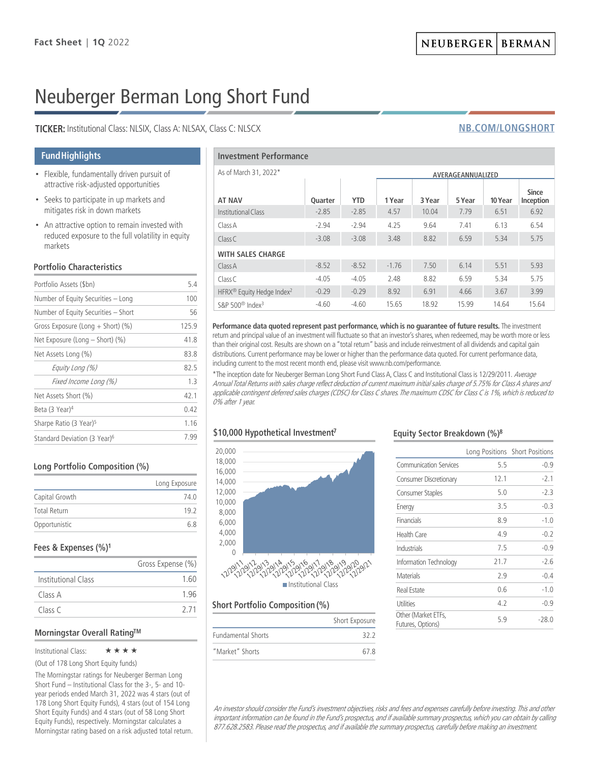# Neuberger Berman Long Short Fund

TICKER: Institutional Class: NLSIX, Class A: NLSAX, Class C: NLSCX

### **Fund Highlights**

- Flexible, fundamentally driven pursuit of attractive risk-adjusted opportunities
- Seeks to participate in up markets and mitigates risk in down markets
- An attractive option to remain invested with reduced exposure to the full volatility in equity markets

#### **Portfolio Characteristics**

| Portfolio Assets (\$bn)                  | 5.4   |
|------------------------------------------|-------|
| Number of Equity Securities - Long       | 100   |
| Number of Equity Securities - Short      | 56    |
| Gross Exposure (Long $+$ Short) (%)      | 125.9 |
| Net Exposure (Long – Short) (%)          | 41.8  |
| Net Assets Long (%)                      | 83.8  |
| Equity Long (%)                          | 82.5  |
| Fixed Income Long (%)                    | 13    |
| Net Assets Short (%)                     | 42.1  |
| Beta (3 Year) <sup>4</sup>               | 0.42  |
| Sharpe Ratio (3 Year) <sup>5</sup>       | 1.16  |
| Standard Deviation (3 Year) <sup>6</sup> | 7.99  |

#### Long Portfolio Composition (%)

|                     | Long Exposure |
|---------------------|---------------|
| Capital Growth      | 74 O          |
| <b>Total Return</b> | 192           |
| Opportunistic       | 68            |

#### Fees & Expenses (%)<sup>1</sup>

|                     | Gross Expense (%) |
|---------------------|-------------------|
| Institutional Class | 1.60              |
| Class A             | 196               |
| Class C             | 2 7 1             |

#### Morningstar Overall Rating™

#### Institutional Class:  $\star \star \star \star$

(Out of 178 Long Short Equity funds)

The Morningstar ratings for Neuberger Berman Long Short Fund – Institutional Class for the 3-, 5- and 10 year periods ended March 31, 2022 was 4 stars (out of 178 Long Short Equity Funds), 4 stars (out of 154 Long Short Equity Funds) and 4 stars (out of 58 Long Short Equity Funds), respectively. Morningstar calculates a Morningstar rating based on a risk adjusted total return.

#### **Investment Performance**

| As of March 31, 2022*                             |         | AVERAGEANNUALIZED |         |        |        |         |                           |
|---------------------------------------------------|---------|-------------------|---------|--------|--------|---------|---------------------------|
| <b>AT NAV</b>                                     | Quarter | <b>YTD</b>        | 1 Year  | 3 Year | 5 Year | 10 Year | <b>Since</b><br>Inception |
| Institutional Class                               | $-2.85$ | $-2.85$           | 4.57    | 10.04  | 7.79   | 6.51    | 6.92                      |
| Class A                                           | $-2.94$ | $-2.94$           | 4.25    | 9.64   | 7.41   | 6.13    | 6.54                      |
| ClassC                                            | $-3.08$ | $-3.08$           | 3.48    | 8.82   | 6.59   | 5.34    | 5.75                      |
| <b>WITH SALES CHARGE</b>                          |         |                   |         |        |        |         |                           |
| Class A                                           | $-8.52$ | $-8.52$           | $-1.76$ | 7.50   | 6.14   | 5.51    | 5.93                      |
| Class C                                           | $-4.05$ | $-4.05$           | 2.48    | 8.82   | 6.59   | 5.34    | 5.75                      |
| HFRX <sup>®</sup> Equity Hedge Index <sup>2</sup> | $-0.29$ | $-0.29$           | 8.92    | 6.91   | 4.66   | 3.67    | 3.99                      |
| S&P 500 <sup>®</sup> Index <sup>3</sup>           | $-4.60$ | $-4.60$           | 15.65   | 18.92  | 15.99  | 14.64   | 15.64                     |

Performance data quoted represent past performance, which is no quarantee of future results. The investment return and principal value of an investment will fluctuate so that an investor's shares, when redeemed, may be worth more or less than their original cost. Results are shown on a "total return" basis and include reinvestment of all dividends and capital gain distributions. Current performance may be lower or higher than the performance data quoted. For current performance data, including current to the most recent month end, please visit www.nb.com/performance.

\*The inception date for Neuberger Berman Long Short Fund Class A, Class C and Institutional Class is 12/29/2011. Average Annual Total Returns with sales charge reflect deduction of current maximum initial sales charge of 5.75% for Class A shares and applicable contingent deferred sales charges (CDSC) for Class C shares. The maximum CDSC for Class C is 1%, which is reduced to 0% after 1 year.

## \$10,000 Hypothetical Investment<sup>7</sup>



#### **Short Portfolio Composition (%)**

|                           | Short Exposure |
|---------------------------|----------------|
| <b>Fundamental Shorts</b> | 322            |
| "Market" Shorts           | 67 R           |

#### Equity Sector Breakdown (%)8

|                  |                                          |      | Long Positions Short Positions |
|------------------|------------------------------------------|------|--------------------------------|
|                  | <b>Communication Services</b>            | 5.5  | $-0.9$                         |
|                  | <b>Consumer Discretionary</b>            | 12.1 | $-2.1$                         |
|                  | Consumer Staples                         | 5.0  | $-2.3$                         |
|                  | Energy                                   | 3.5  | $-0.3$                         |
|                  | Financials                               | 8.9  | $-1.0$                         |
|                  | <b>Health Care</b>                       | 4.9  | $-0.2$                         |
|                  | Industrials                              | 7.5  | $-0.9$                         |
| 9/19/20/20<br>SS | Information Technology                   | 21.7 | $-2.6$                         |
|                  | <b>Materials</b>                         | 2.9  | $-0.4$                         |
|                  | <b>Real Estate</b>                       | 0.6  | $-1.0$                         |
|                  | <b>Utilities</b>                         | 4.2  | $-0.9$                         |
| Short Exposure   | Other (Market ETFs,<br>Futures, Options) | 5.9  | $-28.0$                        |

An investor should consider the Fund's investment objectives, risks and fees and expenses carefully before investing. This and other important information can be found in the Fund's prospectus, and if available summary prospectus, which you can obtain by calling 877.628.2583. Please read the prospectus, and if available the summary prospectus, carefully before making an investment.

## **NB.COM/LONGSHORT**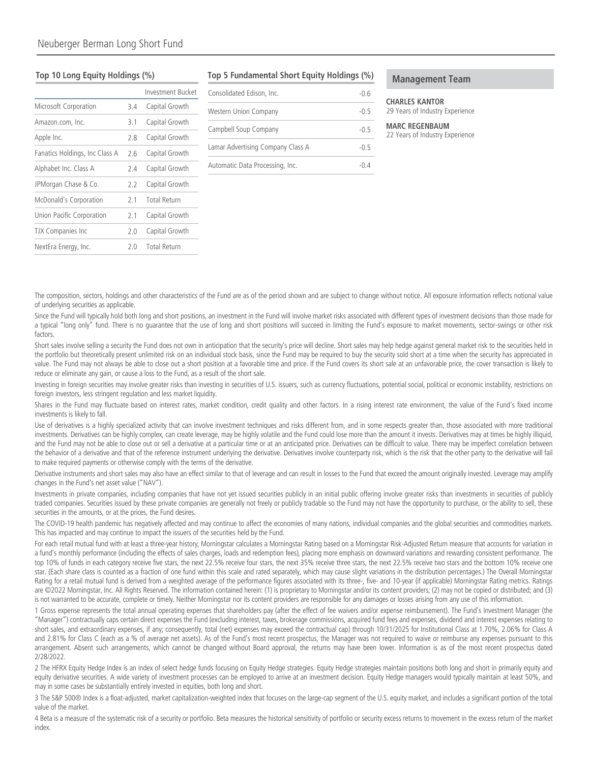#### Top 10 Long Equity Holdings (%)

|                                |     | Investment Bucket   |
|--------------------------------|-----|---------------------|
| Microsoft Corporation          | 3.4 | Capital Growth      |
| Amazon.com, Inc.               | 3.1 | Capital Growth      |
| Apple Inc.                     | 2.8 | Capital Growth      |
| Fanatics Holdings, Inc Class A | 26  | Capital Growth      |
| Alphabet Inc. Class A          | 2.4 | Capital Growth      |
| JPMorgan Chase & Co.           | 2.2 | Capital Growth      |
| McDonald's Corporation         | 21  | <b>Total Return</b> |
| Union Pacific Corporation      | 2.1 | Capital Growth      |
| <b>TJX Companies Inc</b>       | 2.0 | Capital Growth      |
| NextEra Energy, Inc.           | 20  | <b>Total Return</b> |

#### Top 5 Fundamental Short Equity Holdings (%)

| Consolidated Edison, Inc.         | -0.6   |
|-----------------------------------|--------|
| Western Union Company             | $-0.5$ |
| Campbell Soup Company             | $-0.5$ |
| Lamar Advertising Company Class A | $-0.5$ |
| Automatic Data Processing, Inc.   | -0.4   |

#### **Management Team**

#### **CHARLES KANTOR** 29 Years of Industry Experience

#### **MARC REGENRALIM** 22 Years of Industry Experience

The composition, sectors, holdings and other characteristics of the Fund are as of the period shown and are subject to change without notice. All exposure information reflects notional value of underlying securities as applicable.

Since the Fund will typically hold both long and short positions, an investment in the Fund will involve market risks associated with different types of investment decisions than those made for a typical "long only" fund. There is no quarantee that the use of long and short positions will succeed in limiting the Fund's exposure to market movements, sector-swings or other risk factors.

Short sales involve selling a security the Fund does not own in anticipation that the security's price will decline. Short sales may help hedge against general market risk to the securities held in the portfolio but theoretically present unlimited risk on an individual stock basis, since the Fund may be required to buy the security sold short at a time when the security has appreciated in value. The Fund may not always be able to close out a short position at a favorable time and price. If the Fund covers its short sale at an unfavorable price, the cover transaction is likely to reduce or eliminate any gain, or cause a loss to the Fund, as a result of the short sale.

Investing in foreign securities may involve greater risks than investing in securities of U.S. issuers, such as currency fluctuations, potential social, political or economic instability, restrictions on foreign investors, less stringent regulation and less market liquidity.

Shares in the Fund may fluctuate based on interest rates, market condition, credit quality and other factors. In a rising interest rate environment, the value of the Fund's fixed income investments is likely to fall.

Use of derivatives is a highly specialized activity that can involve investment techniques and risks different from, and in some respects greater than, those associated with more traditional investments. Derivatives can be highly complex, can create leverage, may be highly volatile and the Fund could lose more than the amount it invests. Derivatives may at times be highly illiquid, and the Fund may not be able to close out or sell a derivative at a particular time or at an anticipated price. Derivatives can be difficult to value. There may be imperfect correlation between the behavior of a derivative and that of the reference instrument underlying the derivative. Derivatives involve counterparty risk, which is the risk that the other party to the derivative will fail to make required payments or otherwise comply with the terms of the derivative.

Derivative instruments and short sales may also have an effect similar to that of leverage and can result in losses to the Fund that exceed the amount originally invested. Leverage may amplify changes in the Fund's net asset value ("NAV").

Investments in private companies, including companies that have not yet issued securities publicly in an initial public offering involve greater risks than investments in securities of publicly traded companies. Securities issued by these private companies are generally not freely or publicly tradable so the Fund may not have the opportunity to purchase, or the ability to sell, these securities in the amounts, or at the prices, the Fund desires.

The COVID-19 health pandemic has negatively affected and may continue to affect the economies of many nations, individual companies and the global securities and commodities markets. This has impacted and may continue to impact the issuers of the securities held by the Fund.

For each retail mutual fund with at least a three-year history, Morningstar calculates a Morningstar Rating based on a Morningstar Risk-Adjusted Return measure that accounts for variation in a fund's monthly performance (including the effects of sales charges, loads and redemption fees), placing more emphasis on downward variations and rewarding consistent performance. The top 10% of funds in each category receive five stars, the next 22.5% receive four stars, the next 35% receive three stars, the next 22.5% receive two stars and the bottom 10% receive one star. (Each share class is counted as a fraction of one fund within this scale and rated separately, which may cause slight variations in the distribution percentages.) The Overall Morningstar Rating for a retail mutual fund is derived from a weighted average of the performance figures associated with its three-, five- and 10-year (if applicable) Morningstar Rating metrics. Ratings are ©2022 Morningstar, Inc. All Rights Reserved. The information contained herein: (1) is proprietary to Morningstar and/or its content providers; (2) may not be copied or distributed; and (3) is not warranted to be accurate, complete or timely. Neither Morningstar nor its content providers are responsible for any damages or losses arising from any use of this information.

1 Gross expense represents the total annual operating expenses that shareholders pay (after the effect of fee waivers and/or expense reimbursement). The Fund's Investment Manager (the "Manager") contractually caps certain direct expenses the Fund (excluding interest, taxes, brokerage commissions, acquired fund fees and expenses, dividend and interest expenses relating to short sales, and extraordinary expenses, if any; consequently, total (net) expenses may exceed the contractual cap) through 10/31/2025 for Institutional Class at 1.70%, 2.06% for Class A and 2.81% for Class C (each as a % of average net assets). As of the Fund's most recent prospectus, the Manager was not required to waive or reimburse any expenses pursuant to this arrangement. Absent such arrangements, which cannot be changed without Board approval, the returns may have been lower. Information is as of the most recent prospectus dated 2/28/2022.

2 The HFRX Equity Hedge Index is an index of select hedge funds focusing on Equity Hedge strategies. Equity Hedge strategies maintain positions both long and short in primarily equity and equity derivative securities. A wide variety of investment processes can be employed to arrive at an investment decision. Equity Hedge managers would typically maintain at least 50%, and may in some cases be substantially entirely invested in equities, both long and short.

3 The S&P 500® Index is a float-adjusted, market capitalization-weighted index that focuses on the large-cap segment of the U.S. equity market, and includes a significant portion of the total value of the market.

4 Beta is a measure of the systematic risk of a security or portfolio. Beta measures the historical sensitivity of portfolio or security excess returns to movement in the excess return of the market index.